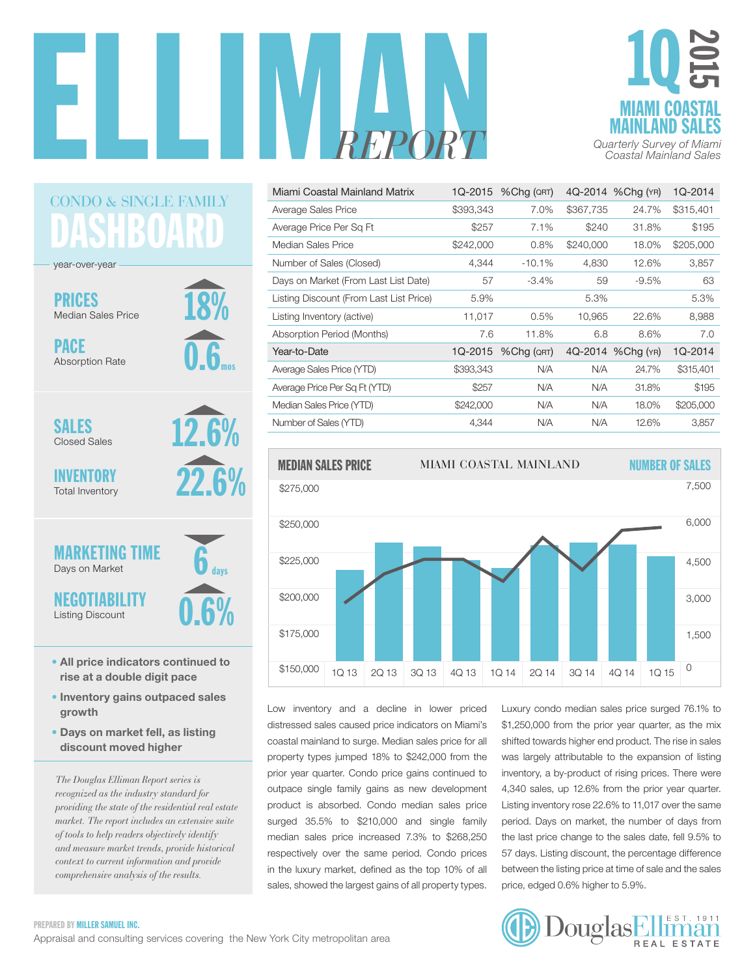



| Miami Coastal Mainland Matrix           | 1Q-2015   | %Chg (QRT) |           | 4Q-2014 %Chg (YR) | 1Q-2014   |
|-----------------------------------------|-----------|------------|-----------|-------------------|-----------|
| Average Sales Price                     | \$393,343 | 7.0%       | \$367,735 | 24.7%             | \$315,401 |
| Average Price Per Sq Ft                 | \$257     | 7.1%       | \$240     | 31.8%             | \$195     |
| Median Sales Price                      | \$242,000 | 0.8%       | \$240,000 | 18.0%             | \$205,000 |
| Number of Sales (Closed)                | 4,344     | $-10.1%$   | 4,830     | 12.6%             | 3,857     |
| Days on Market (From Last List Date)    | 57        | $-3.4%$    | 59        | $-9.5%$           | 63        |
| Listing Discount (From Last List Price) | 5.9%      |            | 5.3%      |                   | 5.3%      |
| Listing Inventory (active)              | 11,017    | 0.5%       | 10,965    | 22.6%             | 8,988     |
| <b>Absorption Period (Months)</b>       | 7.6       | 11.8%      | 6.8       | 8.6%              | 7.0       |
| Year-to-Date                            | 1Q-2015   | %Chg (QRT) |           | 4Q-2014 %Chg (YR) | 1Q-2014   |
| Average Sales Price (YTD)               | \$393,343 | N/A        | N/A       | 24.7%             | \$315,401 |
| Average Price Per Sq Ft (YTD)           | \$257     | N/A        | N/A       | 31.8%             | \$195     |
| Median Sales Price (YTD)                | \$242,000 | N/A        | N/A       | 18.0%             | \$205,000 |
| Number of Sales (YTD)                   |           |            |           |                   |           |



Low inventory and a decline in lower priced distressed sales caused price indicators on Miami's coastal mainland to surge. Median sales price for all property types jumped 18% to \$242,000 from the prior year quarter. Condo price gains continued to outpace single family gains as new development product is absorbed. Condo median sales price surged  $35.5\%$  to \$210,000 and single family median sales price increased 7.3% to \$268,250 respectively over the same period. Condo prices in the luxury market, defined as the top 10% of all sales, showed the largest gains of all property types. yrice, edged 0.6% higher to 5.9%.

Luxury condo median sales price surged 76.1% to \$1,250,000 from the prior year quarter, as the mix shifted towards higher end product. The rise in sales perty types jumped 18% to \$242,000 from the was largely attributable to the expansion of listing inventory, a by-product of rising prices. There were 4,340 sales, up 12.6% from the prior year quarter. 1,010 baloe, up 12.070 from the prior your quarter.<br>Listing inventory rose 22.6% to 11,017 over the same period. Days on market, the number of days from the last price change to the sales date, fell 9.5% to 57 days. Listing discount, the percentage difference between the listing price at time of sale and the sales price, edged 0.6% higher to 5.9%.



### DASHBOARD CONDO & SINGLE FAMILY

18%

0.6

mos

12.6%

22.6%

days

year-over-year

PRICES Median Sales Price

PACE Absorption Rate

SALES Closed Sales

INVENTORY Total Inventory

#### 0.6% 6 MARKETING TIME Days on Market NEGOTIABILITY Listing Discount

- All price indicators continued to rise at a double digit pace
- Inventory gains outpaced sales growth
- Days on market fell, as listing discount moved higher

*The Douglas Elliman Report series is recognized as the industry standard for providing the state of the residential real estate market. The report includes an extensive suite of tools to help readers objectively identify and measure market trends, provide historical context to current information and provide comprehensive analysis of the results.*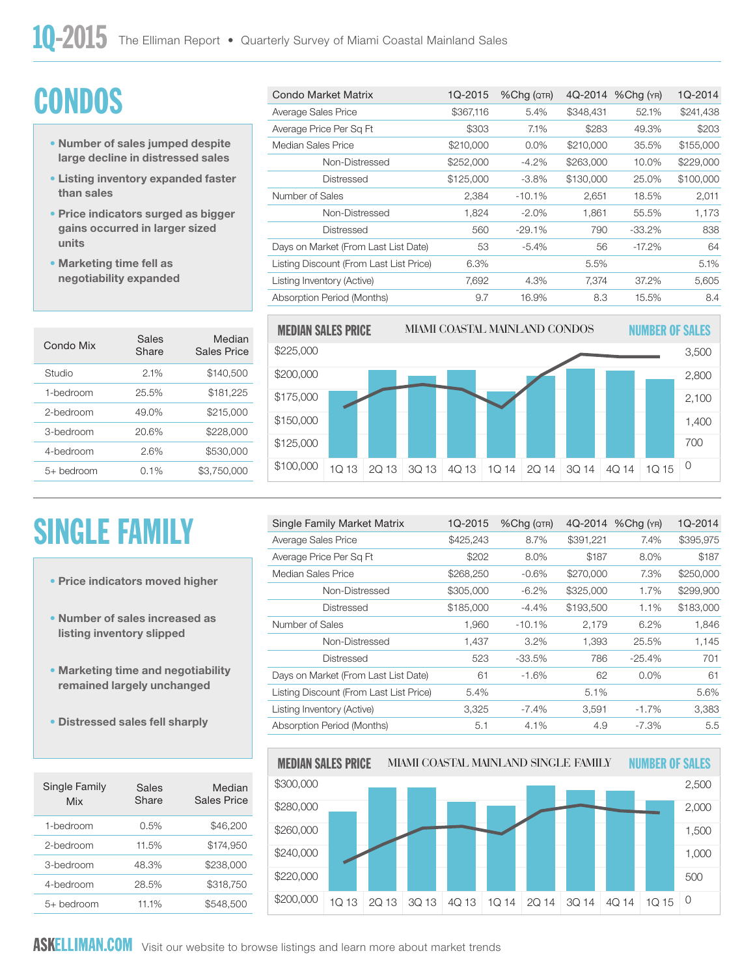# **CONDOS**

- Number of sales jumped despite large decline in distressed sales
- Listing inventory expanded faster than sales
- Price indicators surged as bigger gains occurred in larger sized units
- Marketing time fell as negotiability expanded

| Condo Mix    | Sales<br>Share | Median<br>Sales Price |
|--------------|----------------|-----------------------|
| Studio       | 2.1%           | \$140,500             |
| 1-hedroom    | 25.5%          | \$181,225             |
| 2-bedroom    | 49.0%          | \$215,000             |
| 3-bedroom    | 20.6%          | \$228,000             |
| 4-hedroom    | 2.6%           | \$530,000             |
| $5+$ bedroom | $0.1\%$        | \$3,750,000           |

# SINGLE FAMILY

- Price indicators moved higher
- Number of sales increased as listing inventory slipped
- Marketing time and negotiability remained largely unchanged
- Distressed sales fell sharply

| Single Family<br>Mix | Sales<br>Share | Median<br>Sales Price |
|----------------------|----------------|-----------------------|
| 1-bedroom            | 0.5%           | \$46,200              |
| 2-hedroom            | 11.5%          | \$174,950             |
| 3-bedroom            | 48.3%          | \$238,000             |
| 4-bedroom            | 28.5%          | \$318,750             |
| $5+$ bedroom         | 11.1%          | \$548,500             |

| Condo Market Matrix                     | 1Q-2015   | %Chg (QTR) | 4Q-2014   | %Chg (YR) | 1Q-2014   |
|-----------------------------------------|-----------|------------|-----------|-----------|-----------|
| Average Sales Price                     | \$367,116 | 5.4%       | \$348,431 | 52.1%     | \$241,438 |
| Average Price Per Sq Ft                 | \$303     | 7.1%       | \$283     | 49.3%     | \$203     |
| Median Sales Price                      | \$210,000 | 0.0%       | \$210,000 | 35.5%     | \$155,000 |
| Non-Distressed                          | \$252,000 | $-4.2%$    | \$263,000 | 10.0%     | \$229,000 |
| Distressed                              | \$125,000 | $-3.8\%$   | \$130,000 | 25.0%     | \$100,000 |
| Number of Sales                         | 2,384     | $-10.1%$   | 2,651     | 18.5%     | 2,011     |
| Non-Distressed                          | 1,824     | $-2.0%$    | 1,861     | 55.5%     | 1,173     |
| Distressed                              | 560       | $-29.1%$   | 790       | $-33.2%$  | 838       |
| Days on Market (From Last List Date)    | 53        | $-5.4\%$   | 56        | $-17.2\%$ | 64        |
| Listing Discount (From Last List Price) | 6.3%      |            | 5.5%      |           | 5.1%      |
| Listing Inventory (Active)              | 7,692     | 4.3%       | 7,374     | 37.2%     | 5,605     |
| Absorption Period (Months)              | 9.7       | 16.9%      | 8.3       | 15.5%     | 8.4       |

7,500



| Single Family Market Matrix             | 1Q-2015   | $%$ Cha ( $QTR$ ) | 4Q-2014   | $%$ Chg $(YR)$ | 1Q-2014   |
|-----------------------------------------|-----------|-------------------|-----------|----------------|-----------|
| Average Sales Price                     | \$425,243 | 8.7%              | \$391,221 | 7.4%           | \$395,975 |
| Average Price Per Sq Ft                 | \$202     | 8.0%              | \$187     | 8.0%           | \$187     |
| Median Sales Price                      | \$268,250 | $-0.6%$           | \$270,000 | 7.3%           | \$250,000 |
| Non-Distressed                          | \$305,000 | $-6.2%$           | \$325,000 | 1.7%           | \$299,900 |
| Distressed                              | \$185,000 | $-4.4%$           | \$193,500 | 1.1%           | \$183,000 |
| Number of Sales                         | 1,960     | $-10.1%$          | 2,179     | 6.2%           | 1,846     |
| Non-Distressed                          | 1.437     | $3.2\%$           | 1,393     | 25.5%          | 1,145     |
| Distressed                              | 523       | -33.5%            | 786       | $-25.4\%$      | 701       |
| Days on Market (From Last List Date)    | 61        | $-1.6%$           | 62        | $0.0\%$        | 61        |
| Listing Discount (From Last List Price) | 5.4%      |                   | 5.1%      |                | 5.6%      |
| Listing Inventory (Active)              | 3,325     | $-7.4%$           | 3,591     | $-1.7%$        | 3,383     |
| Absorption Period (Months)              | 5.1       | 4.1%              | 4.9       | $-7.3\%$       | 5.5       |

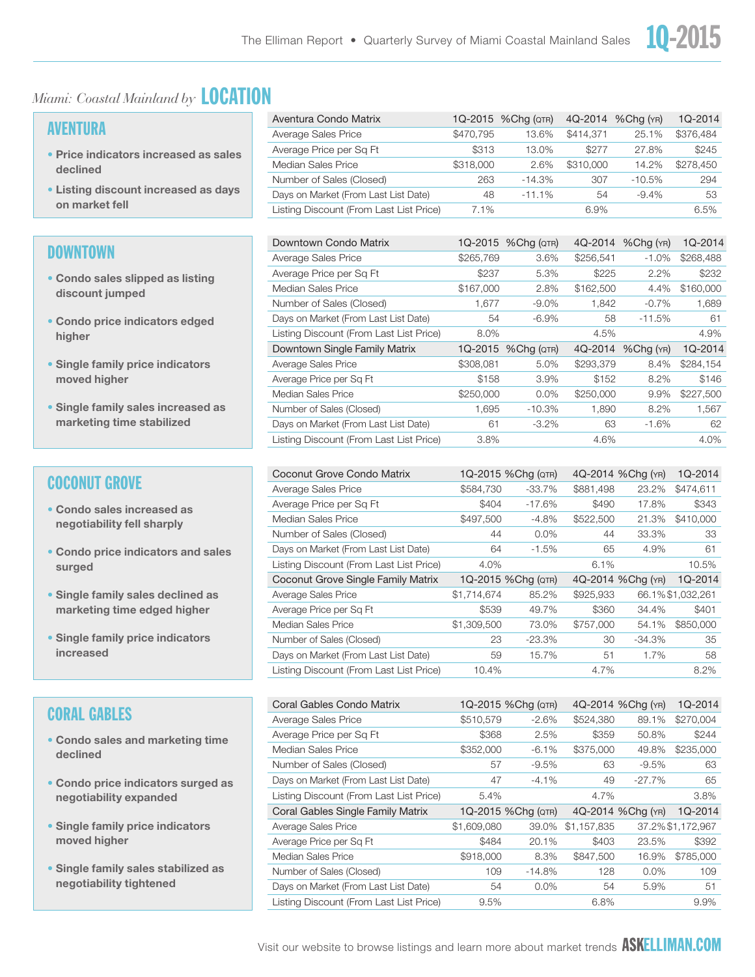#### *Miami: Coastal Mainland by* LOCATION

#### AVENTURA

- Price indicators increased as sales declined
- Listing discount increased as days on market fell

#### **DOWNTOWN**

- Condo sales slipped as listing discount jumped
- Condo price indicators edged higher
- Single family price indicators moved higher
- Single family sales increased as marketing time stabilized

#### COCONUT GROVE

- Condo sales increased as negotiability fell sharply
- Condo price indicators and sales surged
- Single family sales declined as marketing time edged higher
- Single family price indicators increased

#### CORAL GABLES

- Condo sales and marketing time declined
- Condo price indicators surged as negotiability expanded
- Single family price indicators moved higher
- Single family sales stabilized as negotiability tightened

| Aventura Condo Matrix                   |           | 1Q-2015 % Chg (QTR) | 4Q-2014   | %Chg (YR) | 1Q-2014   |
|-----------------------------------------|-----------|---------------------|-----------|-----------|-----------|
| Average Sales Price                     | \$470.795 | 13.6%               | \$414.371 | 25.1%     | \$376,484 |
| Average Price per Sq Ft                 | \$313     | 13.0%               | \$277     | 27.8%     | \$245     |
| Median Sales Price                      | \$318,000 | 2.6%                | \$310,000 | 14.2%     | \$278,450 |
| Number of Sales (Closed)                | 263       | $-14.3%$            | 307       | $-10.5%$  | 294       |
| Days on Market (From Last List Date)    | 48        | $-11.1%$            | 54        | $-9.4%$   | 53        |
| Listing Discount (From Last List Price) | 7.1%      |                     | 6.9%      |           | 6.5%      |

| Downtown Condo Matrix                   |           | 1Q-2015 %Chg (QTR) | 4Q-2014   | $%$ Chg $(YR)$ | 1Q-2014   |
|-----------------------------------------|-----------|--------------------|-----------|----------------|-----------|
| Average Sales Price                     | \$265,769 | 3.6%               | \$256,541 | $-1.0%$        | \$268,488 |
| Average Price per Sq Ft                 | \$237     | 5.3%               | \$225     | 2.2%           | \$232     |
| Median Sales Price                      | \$167,000 | 2.8%               | \$162,500 | 4.4%           | \$160,000 |
| Number of Sales (Closed)                | 1.677     | $-9.0\%$           | 1.842     | $-0.7%$        | 1,689     |
| Days on Market (From Last List Date)    | 54        | $-6.9%$            | 58        | $-11.5%$       | 61        |
| Listing Discount (From Last List Price) | 8.0%      |                    | 4.5%      |                | 4.9%      |
|                                         |           |                    |           |                |           |
| Downtown Single Family Matrix           | 1Q-2015   | $%$ Chq ( $QTR$ )  | 4Q-2014   | %Chg (YR)      | 1Q-2014   |
| Average Sales Price                     | \$308,081 | 5.0%               | \$293,379 | 8.4%           | \$284,154 |
| Average Price per Sq Ft                 | \$158     | 3.9%               | \$152     | 8.2%           | \$146     |
| Median Sales Price                      | \$250,000 | $0.0\%$            | \$250,000 | 9.9%           | \$227,500 |
| Number of Sales (Closed)                | 1,695     | $-10.3%$           | 1,890     | 8.2%           | 1,567     |
| Days on Market (From Last List Date)    | 61        | $-3.2\%$           | 63        | $-1.6%$        | 62        |

| Coconut Grove Condo Matrix              |             | 1Q-2015 % Chg (QTR) |           | 4Q-2014 %Chg (YR) | 1Q-2014           |
|-----------------------------------------|-------------|---------------------|-----------|-------------------|-------------------|
| Average Sales Price                     | \$584,730   | $-33.7%$            | \$881,498 | 23.2%             | \$474,611         |
| Average Price per Sq Ft                 | \$404       | $-17.6%$            | \$490     | 17.8%             | \$343             |
| Median Sales Price                      | \$497.500   | $-4.8%$             | \$522,500 | 21.3%             | \$410,000         |
| Number of Sales (Closed)                | 44          | 0.0%                | 44        | 33.3%             | 33                |
| Days on Market (From Last List Date)    | 64          | $-1.5%$             | 65        | 4.9%              | 61                |
| Listing Discount (From Last List Price) | 4.0%        |                     | 6.1%      |                   | 10.5%             |
|                                         |             |                     |           |                   |                   |
| Coconut Grove Single Family Matrix      |             | 1Q-2015 %Chg (QTR)  |           | 4Q-2014 %Chg (YR) | 1Q-2014           |
| Average Sales Price                     | \$1,714,674 | 85.2%               | \$925.933 |                   | 66.1% \$1.032.261 |
| Average Price per Sq Ft                 | \$539       | 49.7%               | \$360     | 34.4%             | \$401             |
| Median Sales Price                      | \$1,309,500 | 73.0%               | \$757,000 | 54.1%             | \$850,000         |
| Number of Sales (Closed)                | 23          | $-23.3%$            | 30        | $-34.3%$          | 35                |
| Days on Market (From Last List Date)    | 59          | 15.7%               | 51        | 1.7%              | 58                |

| Coral Gables Condo Matrix               |             | 1Q-2015 %Chg (QTR) |             | 4Q-2014 %Chg (YR) | 1Q-2014           |
|-----------------------------------------|-------------|--------------------|-------------|-------------------|-------------------|
| Average Sales Price                     | \$510,579   | $-2.6%$            | \$524,380   | 89.1%             | \$270,004         |
| Average Price per Sq Ft                 | \$368       | 2.5%               | \$359       | 50.8%             | \$244             |
| Median Sales Price                      | \$352,000   | $-6.1%$            | \$375,000   | 49.8%             | \$235,000         |
| Number of Sales (Closed)                | 57          | $-9.5%$            | 63          | $-9.5%$           | 63                |
| Days on Market (From Last List Date)    | 47          | $-4.1%$            | 49          | $-27.7%$          | 65                |
| Listing Discount (From Last List Price) | 5.4%        |                    | 4.7%        |                   | 3.8%              |
|                                         |             |                    |             |                   |                   |
| Coral Gables Single Family Matrix       |             | 1Q-2015 %Chg (QTR) |             | 4Q-2014 %Chg (YR) | 1Q-2014           |
| Average Sales Price                     | \$1,609,080 | 39.0%              | \$1.157.835 |                   | 37.2% \$1,172,967 |
| Average Price per Sq Ft                 | \$484       | 20.1%              | \$403       | 23.5%             | \$392             |
| Median Sales Price                      | \$918,000   | 8.3%               | \$847,500   | 16.9%             | \$785,000         |
| Number of Sales (Closed)                | 109         | $-14.8%$           | 128         | $0.0\%$           | 109               |
| Days on Market (From Last List Date)    | 54          | $0.0\%$            | 54          | 5.9%              | 51                |